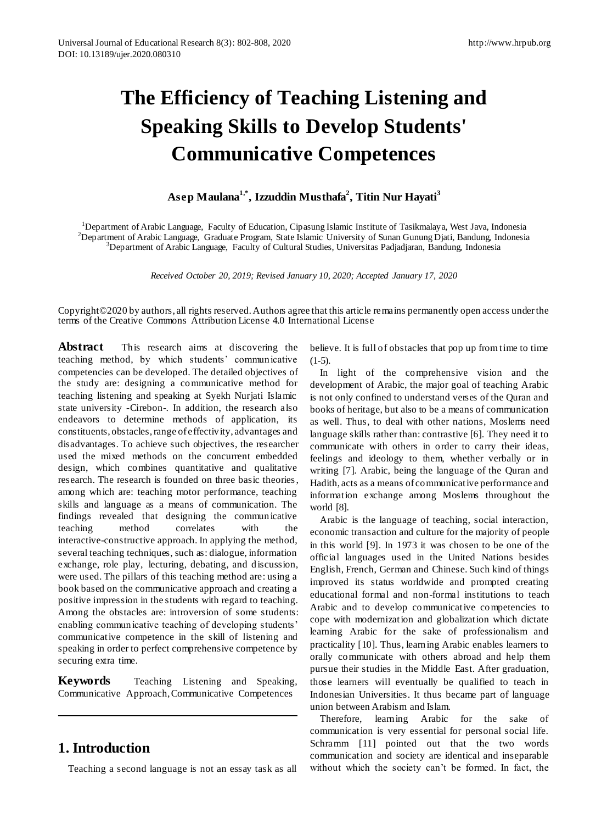# **The Efficiency of Teaching Listening and Speaking Skills to Develop Students' Communicative Competences**

### **Asep Maulana1,\* , Izzuddin Musthafa<sup>2</sup> , Titin Nur Hayati<sup>3</sup>**

<sup>1</sup>Department of Arabic Language, Faculty of Education, Cipasung Islamic Institute of Tasikmalaya, West Java, Indonesia <sup>2</sup>Department of Arabic Language, Graduate Program, State Islamic University of Sunan Gunung Djati, Bandung, Indonesia <sup>3</sup>Department of Arabic Language, Faculty of Cultural Studies, Universitas Padjadjaran, Bandung, Indonesia

*Received October 20, 2019; Revised January 10, 2020; Accepted January 17, 2020*

Copyright©2020 by authors, all rights reserved. Authors agree that this article remains permanently open access under the terms of the Creative Commons Attribution License 4.0 International License

**Abstract** This research aims at discovering the teaching method, by which students' communicative competencies can be developed. The detailed objectives of the study are: designing a communicative method for teaching listening and speaking at Syekh Nurjati Islamic state university -Cirebon-. In addition, the research also endeavors to determine methods of application, its constituents, obstacles, range of effectivity, advantages and disadvantages. To achieve such objectives, the researcher used the mixed methods on the concurrent embedded design, which combines quantitative and qualitative research. The research is founded on three basic theories, among which are: teaching motor performance, teaching skills and language as a means of communication. The findings revealed that designing the communicative teaching method correlates with the interactive-constructive approach. In applying the method, several teaching techniques, such as: dialogue, information exchange, role play, lecturing, debating, and discussion, were used. The pillars of this teaching method are: using a book based on the communicative approach and creating a positive impression in the students with regard to teaching. Among the obstacles are: introversion of some students: enabling communicative teaching of developing students' communicative competence in the skill of listening and speaking in order to perfect comprehensive competence by securing extra time.

**Keywords** Teaching Listening and Speaking, Communicative Approach, Communicative Competences

# **1. Introduction**

Teaching a second language is not an essay task as all

believe. It is full of obstacles that pop up from time to time  $(1-5)$ .

In light of the comprehensive vision and the development of Arabic, the major goal of teaching Arabic is not only confined to understand verses of the Quran and books of heritage, but also to be a means of communication as well. Thus, to deal with other nations, Moslems need language skills rather than: contrastive [6]. They need it to communicate with others in order to carry their ideas, feelings and ideology to them, whether verbally or in writing [7]. Arabic, being the language of the Quran and Hadith, acts as a means of communicative performance and information exchange among Moslems throughout the world [8].

Arabic is the language of teaching, social interaction, economic transaction and culture for the majority of people in this world [9]. In 1973 it was chosen to be one of the official languages used in the United Nations besides English, French, German and Chinese. Such kind of things improved its status worldwide and prompted creating educational formal and non-formal institutions to teach Arabic and to develop communicative competencies to cope with modernization and globalization which dictate learning Arabic for the sake of professionalism and practicality [10]. Thus, learning Arabic enables learners to orally communicate with others abroad and help them pursue their studies in the Middle East. After graduation, those learners will eventually be qualified to teach in Indonesian Universities. It thus became part of language union between Arabism and Islam.

Therefore, learning Arabic for the sake of communication is very essential for personal social life. Schramm [11] pointed out that the two words communication and society are identical and inseparable without which the society can't be formed. In fact, the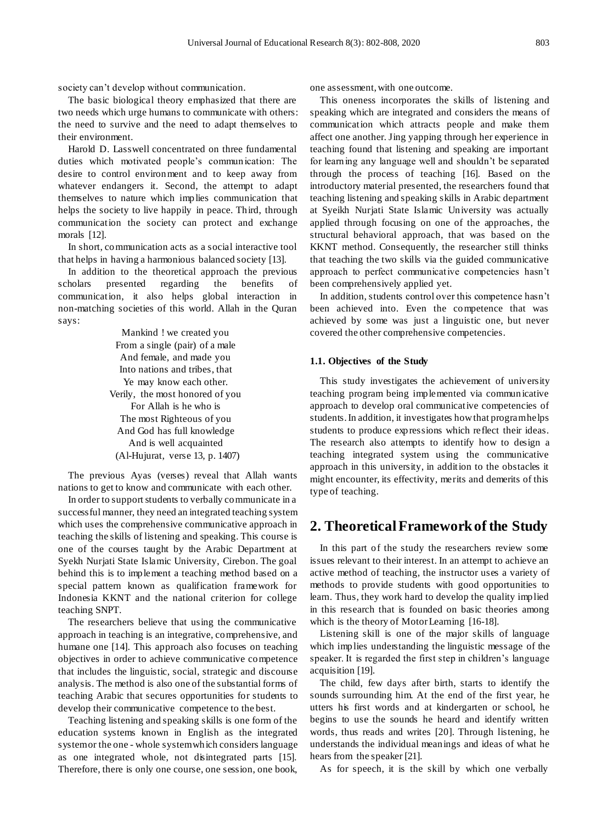society can't develop without communication.

The basic biological theory emphasized that there are two needs which urge humans to communicate with others: the need to survive and the need to adapt themselves to their environment.

Harold D. Lasswell concentrated on three fundamental duties which motivated people's communication: The desire to control environment and to keep away from whatever endangers it. Second, the attempt to adapt themselves to nature which implies communication that helps the society to live happily in peace. Third, through communication the society can protect and exchange morals [12].

In short, communication acts as a social interactive tool that helps in having a harmonious balanced society [13].

In addition to the theoretical approach the previous scholars presented regarding the benefits of communication, it also helps global interaction in non-matching societies of this world. Allah in the Quran says:

> Mankind ! we created you From a single (pair) of a male And female, and made you Into nations and tribes, that Ye may know each other. Verily, the most honored of you For Allah is he who is The most Righteous of you And God has full knowledge And is well acquainted (Al-Hujurat, verse 13, p. 1407)

The previous Ayas (verses) reveal that Allah wants nations to get to know and communicate with each other.

In order to support students to verbally communicate in a successful manner, they need an integrated teaching system which uses the comprehensive communicative approach in teaching the skills of listening and speaking. This course is one of the courses taught by the Arabic Department at Syekh Nurjati State Islamic University, Cirebon. The goal behind this is to implement a teaching method based on a special pattern known as qualification framework for Indonesia KKNT and the national criterion for college teaching SNPT.

The researchers believe that using the communicative approach in teaching is an integrative, comprehensive, and humane one [14]. This approach also focuses on teaching objectives in order to achieve communicative competence that includes the linguistic, social, strategic and discourse analysis. The method is also one of the substantial forms of teaching Arabic that secures opportunities for students to develop their communicative competence to the best.

Teaching listening and speaking skills is one form of the education systems known in English as the integrated system or the one - whole system which considers language as one integrated whole, not disintegrated parts [15]. Therefore, there is only one course, one session, one book,

one assessment, with one outcome.

This oneness incorporates the skills of listening and speaking which are integrated and considers the means of communication which attracts people and make them affect one another. Jing yapping through her experience in teaching found that listening and speaking are important for learning any language well and shouldn't be separated through the process of teaching [16]. Based on the introductory material presented, the researchers found that teaching listening and speaking skills in Arabic department at Syeikh Nurjati State Islamic University was actually applied through focusing on one of the approaches, the structural behavioral approach, that was based on the KKNT method. Consequently, the researcher still thinks that teaching the two skills via the guided communicative approach to perfect communicative competencies hasn't been comprehensively applied yet.

In addition, students control over this competence hasn't been achieved into. Even the competence that was achieved by some was just a linguistic one, but never covered the other comprehensive competencies.

#### **1.1. Objectives of the Study**

This study investigates the achievement of university teaching program being implemented via communicative approach to develop oral communicative competencies of students. In addition, it investigates how that program helps students to produce expressions which reflect their ideas. The research also attempts to identify how to design a teaching integrated system using the communicative approach in this university, in addition to the obstacles it might encounter, its effectivity, merits and demerits of this type of teaching.

#### **2. Theoretical Framework of the Study**

In this part of the study the researchers review some issues relevant to their interest. In an attempt to achieve an active method of teaching, the instructor uses a variety of methods to provide students with good opportunities to learn. Thus, they work hard to develop the quality implied in this research that is founded on basic theories among which is the theory of Motor Learning [16-18].

Listening skill is one of the major skills of language which implies understanding the linguistic message of the speaker. It is regarded the first step in children's language acquisition [19].

The child, few days after birth, starts to identify the sounds surrounding him. At the end of the first year, he utters his first words and at kindergarten or school, he begins to use the sounds he heard and identify written words, thus reads and writes [20]. Through listening, he understands the individual meanings and ideas of what he hears from the speaker [21].

As for speech, it is the skill by which one verbally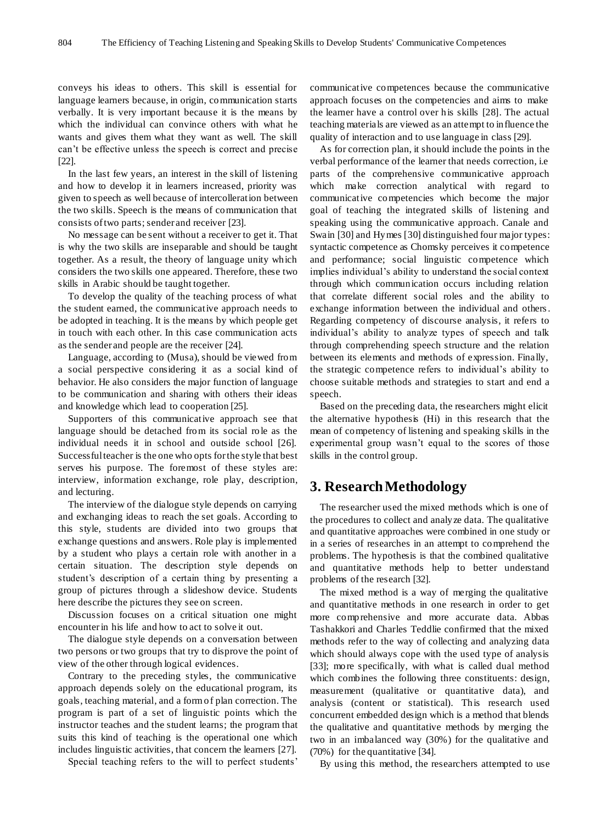conveys his ideas to others. This skill is essential for language learners because, in origin, communication starts verbally. It is very important because it is the means by which the individual can convince others with what he wants and gives them what they want as well. The skill can't be effective unless the speech is correct and precise [22].

In the last few years, an interest in the skill of listening and how to develop it in learners increased, priority was given to speech as well because of intercolleration between the two skills. Speech is the means of communication that consists of two parts; sender and receiver [23].

No message can be sent without a receiver to get it. That is why the two skills are inseparable and should be taught together. As a result, the theory of language unity which considers the two skills one appeared. Therefore, these two skills in Arabic should be taught together.

To develop the quality of the teaching process of what the student earned, the communicative approach needs to be adopted in teaching. It is the means by which people get in touch with each other. In this case communication acts as the sender and people are the receiver [24].

Language, according to (Musa), should be viewed from a social perspective considering it as a social kind of behavior. He also considers the major function of language to be communication and sharing with others their ideas and knowledge which lead to cooperation [25].

Supporters of this communicative approach see that language should be detached from its social role as the individual needs it in school and outside school [26]. Successful teacher is the one who opts for the style that best serves his purpose. The foremost of these styles are: interview, information exchange, role play, description, and lecturing.

The interview of the dialogue style depends on carrying and exchanging ideas to reach the set goals. According to this style, students are divided into two groups that exchange questions and answers. Role play is implemented by a student who plays a certain role with another in a certain situation. The description style depends on student's description of a certain thing by presenting a group of pictures through a slideshow device. Students here describe the pictures they see on screen.

Discussion focuses on a critical situation one might encounter in his life and how to act to solve it out.

The dialogue style depends on a conversation between two persons or two groups that try to disprove the point of view of the other through logical evidences.

Contrary to the preceding styles, the communicative approach depends solely on the educational program, its goals, teaching material, and a form of plan correction. The program is part of a set of linguistic points which the instructor teaches and the student learns; the program that suits this kind of teaching is the operational one which includes linguistic activities, that concern the learners [27].

Special teaching refers to the will to perfect students'

communicative competences because the communicative approach focuses on the competencies and aims to make the learner have a control over his skills [28]. The actual teaching materials are viewed as an attempt to influence the quality of interaction and to use language in class [29].

As for correction plan, it should include the points in the verbal performance of the learner that needs correction, i.e parts of the comprehensive communicative approach which make correction analytical with regard to communicative competencies which become the major goal of teaching the integrated skills of listening and speaking using the communicative approach. Canale and Swain [30] and Hymes [30] distinguished four major types: syntactic competence as Chomsky perceives it competence and performance; social linguistic competence which implies individual's ability to understand the social context through which communication occurs including relation that correlate different social roles and the ability to exchange information between the individual and others. Regarding competency of discourse analysis, it refers to individual's ability to analyze types of speech and talk through comprehending speech structure and the relation between its elements and methods of expression. Finally, the strategic competence refers to individual's ability to choose suitable methods and strategies to start and end a speech.

Based on the preceding data, the researchers might elicit the alternative hypothesis (Hi) in this research that the mean of competency of listening and speaking skills in the experimental group wasn't equal to the scores of those skills in the control group.

# **3. Research Methodology**

The researcher used the mixed methods which is one of the procedures to collect and analyze data. The qualitative and quantitative approaches were combined in one study or in a series of researches in an attempt to comprehend the problems. The hypothesis is that the combined qualitative and quantitative methods help to better understand problems of the research [32].

The mixed method is a way of merging the qualitative and quantitative methods in one research in order to get more comprehensive and more accurate data. Abbas Tashakkori and Charles Teddlie confirmed that the mixed methods refer to the way of collecting and analyzing data which should always cope with the used type of analysis [33]; more specifically, with what is called dual method which combines the following three constituents: design, measurement (qualitative or quantitative data), and analysis (content or statistical). This research used concurrent embedded design which is a method that blends the qualitative and quantitative methods by merging the two in an imbalanced way (30%) for the qualitative and (70%) for the quantitative [34].

By using this method, the researchers attempted to use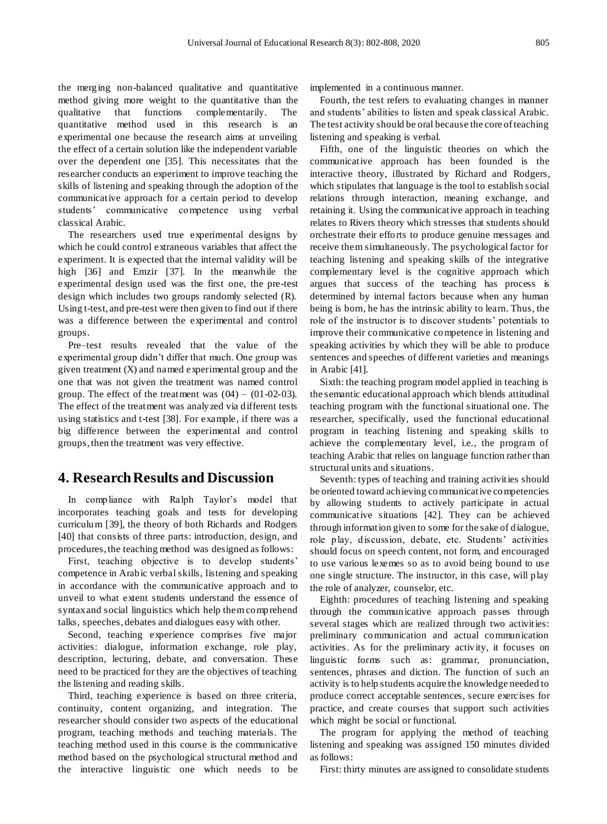the merging non-balanced qualitative and quantitative method giving more weight to the quantitative than the qualitative that functions complementarily. The quantitative method used in this research is an experimental one because the research aims at unveiling the effect of a certain solution like the independent variable over the dependent one [35]. This necessitates that the researcher conducts an experiment to improve teaching the skills of listening and speaking through the adoption of the communicative approach for a certain period to develop students' communicative competence using verbal classical Arabic.

The researchers used true experimental designs by which he could control extraneous variables that affect the experiment. It is expected that the internal validity will be high [36] and Emzir [37]. In the meanwhile the experimental design used was the first one, the pre-test design which includes two groups randomly selected (R). Using t-test, and pre-test were then given to find out if there was a difference between the experimental and control groups.

Pre–test results revealed that the value of the experimental group didn't differ that much. One group was given treatment  $(X)$  and named experimental group and the one that was not given the treatment was named control group. The effect of the treatment was  $(04) - (01-02-03)$ . The effect of the treatment was analyzed via different tests using statistics and t-test [38]. For example, if there was a big difference between the experimental and control groups, then the treatment was very effective.

### **4. Research Results and Discussion**

In compliance with Ralph Taylor's model that incorporates teaching goals and tests for developing curriculum [39], the theory of both Richards and Rodgers [40] that consists of three parts: introduction, design, and procedures, the teaching method was designed as follows:

First, teaching objective is to develop students' competence in Arabic verbal skills, listening and speaking in accordance with the communicative approach and to unveil to what extent students understand the essence of syntax and social linguistics which help them comprehend talks, speeches, debates and dialogues easy with other.

Second, teaching experience comprises five major activities: dialogue, information exchange, role play, description, lecturing, debate, and conversation. These need to be practiced for they are the objectives of teaching the listening and reading skills.

Third, teaching experience is based on three criteria, continuity, content organizing, and integration. The researcher should consider two aspects of the educational program, teaching methods and teaching materials. The teaching method used in this course is the communicative method based on the psychological structural method and the interactive linguistic one which needs to be

implemented in a continuous manner.

Fourth, the test refers to evaluating changes in manner and students' abilities to listen and speak classical Arabic. The test activity should be oral because the core of teaching listening and speaking is verbal.

Fifth, one of the linguistic theories on which the communicative approach has been founded is the interactive theory, illustrated by Richard and Rodgers, which stipulates that language is the tool to establish social relations through interaction, meaning exchange, and retaining it. Using the communicative approach in teaching relates to Rivers theory which stresses that students should orchestrate their efforts to produce genuine messages and receive them simultaneously. The psychological factor for teaching listening and speaking skills of the integrative complementary level is the cognitive approach which argues that success of the teaching has process is determined by internal factors because when any human being is born, he has the intrinsic ability to learn. Thus, the role of the instructor is to discover students' potentials to improve their communicative competence in listening and speaking activities by which they will be able to produce sentences and speeches of different varieties and meanings in Arabic [41].

Sixth: the teaching program model applied in teaching is the semantic educational approach which blends attitudinal teaching program with the functional situational one. The researcher, specifically, used the functional educational program in teaching listening and speaking skills to achieve the complementary level, i.e., the program of teaching Arabic that relies on language function rather than structural units and situations.

Seventh: types of teaching and training activities should be oriented toward achieving communicative competencies by allowing students to actively participate in actual communicative situations [42]. They can be achieved through information given to some for the sake of dialogue, role play, discussion, debate, etc. Students' activities should focus on speech content, not form, and encouraged to use various lexemes so as to avoid being bound to use one single structure. The instructor, in this case, will play the role of analyzer, counselor, etc.

Eighth: procedures of teaching listening and speaking through the communicative approach passes through several stages which are realized through two activities: preliminary communication and actual communication activities. As for the preliminary activity, it focuses on linguistic forms such as: grammar, pronunciation, sentences, phrases and diction. The function of such an activity is to help students acquire the knowledge needed to produce correct acceptable sentences, secure exercises for practice, and create courses that support such activities which might be social or functional.

The program for applying the method of teaching listening and speaking was assigned 150 minutes divided as follows:

First: thirty minutes are assigned to consolidate students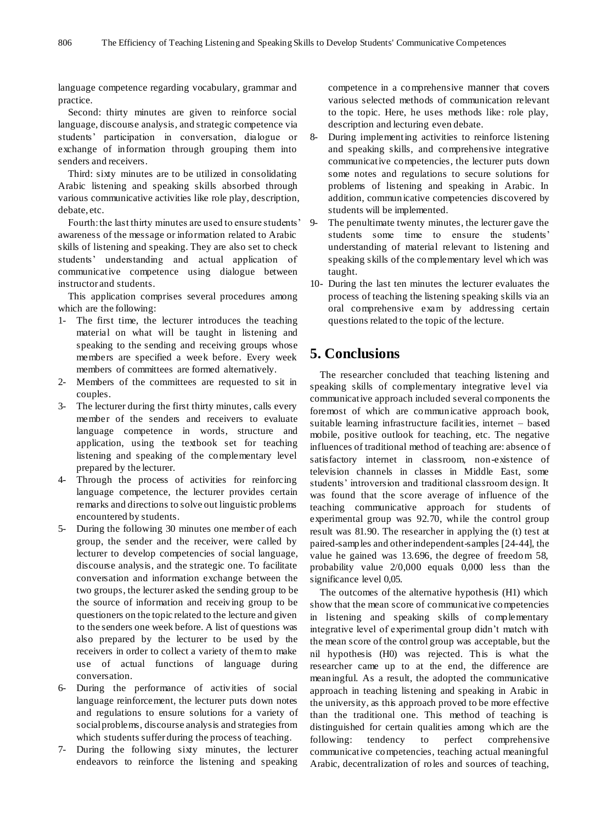language competence regarding vocabulary, grammar and practice.

Second: thirty minutes are given to reinforce social language, discourse analysis, and strategic competence via students' participation in conversation, dialogue or exchange of information through grouping them into senders and receivers.

Third: sixty minutes are to be utilized in consolidating Arabic listening and speaking skills absorbed through various communicative activities like role play, description, debate, etc.

Fourth: the last thirty minutes are used to ensure students' awareness of the message or information related to Arabic skills of listening and speaking. They are also set to check students' understanding and actual application of communicative competence using dialogue between instructor and students.

This application comprises several procedures among which are the following:

- 1- The first time, the lecturer introduces the teaching material on what will be taught in listening and speaking to the sending and receiving groups whose members are specified a week before. Every week members of committees are formed alternatively.
- 2- Members of the committees are requested to sit in couples.
- 3- The lecturer during the first thirty minutes, calls every member of the senders and receivers to evaluate language competence in words, structure and application, using the textbook set for teaching listening and speaking of the complementary level prepared by the lecturer.
- 4- Through the process of activities for reinforcing language competence, the lecturer provides certain remarks and directions to solve out linguistic problems encountered by students.
- 5- During the following 30 minutes one member of each group, the sender and the receiver, were called by lecturer to develop competencies of social language, discourse analysis, and the strategic one. To facilitate conversation and information exchange between the two groups, the lecturer asked the sending group to be the source of information and receiving group to be questioners on the topic related to the lecture and given to the senders one week before. A list of questions was also prepared by the lecturer to be used by the receivers in order to collect a variety of them to make use of actual functions of language during conversation.
- 6- During the performance of activities of social language reinforcement, the lecturer puts down notes and regulations to ensure solutions for a variety of social problems, discourse analysis and strategies from which students suffer during the process of teaching.
- 7- During the following sixty minutes, the lecturer endeavors to reinforce the listening and speaking

competence in a comprehensive manner that covers various selected methods of communication relevant to the topic. Here, he uses methods like: role play, description and lecturing even debate.

- 8- During implementing activities to reinforce listening and speaking skills, and comprehensive integrative communicative competencies, the lecturer puts down some notes and regulations to secure solutions for problems of listening and speaking in Arabic. In addition, communicative competencies discovered by students will be implemented.
- 9- The penultimate twenty minutes, the lecturer gave the students some time to ensure the students' understanding of material relevant to listening and speaking skills of the complementary level which was taught.
- 10- During the last ten minutes the lecturer evaluates the process of teaching the listening speaking skills via an oral comprehensive exam by addressing certain questions related to the topic of the lecture.

# **5. Conclusions**

The researcher concluded that teaching listening and speaking skills of complementary integrative level via communicative approach included several components the foremost of which are communicative approach book, suitable learning infrastructure facilities, internet – based mobile, positive outlook for teaching, etc. The negative influences of traditional method of teaching are: absence of satisfactory internet in classroom, non-existence of television channels in classes in Middle East, some students' introversion and traditional classroom design. It was found that the score average of influence of the teaching communicative approach for students of experimental group was 92.70, while the control group result was 81.90. The researcher in applying the (t) test at paired-samples and other independent-samples [24-44], the value he gained was 13.696, the degree of freedom 58, probability value 2/0,000 equals 0,000 less than the significance level 0,05.

The outcomes of the alternative hypothesis (H1) which show that the mean score of communicative competencies in listening and speaking skills of complementary integrative level of experimental group didn't match with the mean score of the control group was acceptable, but the nil hypothesis (H0) was rejected. This is what the researcher came up to at the end, the difference are meaningful. As a result, the adopted the communicative approach in teaching listening and speaking in Arabic in the university, as this approach proved to be more effective than the traditional one. This method of teaching is distinguished for certain qualities among which are the following: tendency to perfect comprehensive communicative competencies, teaching actual meaningful Arabic, decentralization of roles and sources of teaching,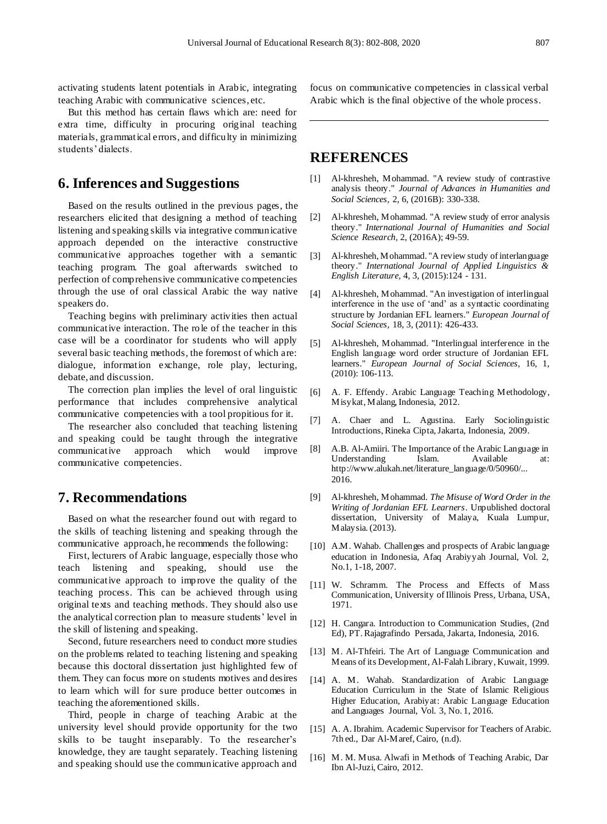activating students latent potentials in Arabic, integrating teaching Arabic with communicative sciences, etc.

But this method has certain flaws which are: need for extra time, difficulty in procuring original teaching materials, grammatical errors, and difficulty in minimizing students' dialects.

### **6. Inferences and Suggestions**

Based on the results outlined in the previous pages, the researchers elicited that designing a method of teaching listening and speaking skills via integrative communicative approach depended on the interactive constructive communicative approaches together with a semantic teaching program. The goal afterwards switched to perfection of comprehensive communicative competencies through the use of oral classical Arabic the way native speakers do.

Teaching begins with preliminary activities then actual communicative interaction. The role of the teacher in this case will be a coordinator for students who will apply several basic teaching methods, the foremost of which are: dialogue, information exchange, role play, lecturing, debate, and discussion.

The correction plan implies the level of oral linguistic performance that includes comprehensive analytical communicative competencies with a tool propitious for it.

The researcher also concluded that teaching listening and speaking could be taught through the integrative communicative approach which would improve communicative competencies.

#### **7. Recommendations**

Based on what the researcher found out with regard to the skills of teaching listening and speaking through the communicative approach, he recommends the following:

First, lecturers of Arabic language, especially those who teach listening and speaking, should use the communicative approach to improve the quality of the teaching process. This can be achieved through using original texts and teaching methods. They should also use the analytical correction plan to measure students' level in the skill of listening and speaking.

Second, future researchers need to conduct more studies on the problems related to teaching listening and speaking because this doctoral dissertation just highlighted few of them. They can focus more on students motives and desires to learn which will for sure produce better outcomes in teaching the aforementioned skills.

Third, people in charge of teaching Arabic at the university level should provide opportunity for the two skills to be taught inseparably. To the researcher's knowledge, they are taught separately. Teaching listening and speaking should use the communicative approach and

focus on communicative competencies in classical verbal Arabic which is the final objective of the whole process.

#### **REFERENCES**

- [1] Al-khresheh, Mohammad. "A review study of contrastive analysis theory." *Journal of Advances in Humanities and Social Sciences*, 2, 6, (2016B): 330-338.
- [2] Al-khresheh, Mohammad. "A review study of error analysis theory." *International Journal of Humanities and Social Science Research,* 2, (2016A); 49-59.
- [3] Al-khresheh, Mohammad. "A review study of interlanguage theory." *International Journal of Applied Linguistics & English Literature,* 4, 3, (2015):124 - 131.
- [4] Al-khresheh, Mohammad. "An investigation of interlingual interference in the use of 'and' as a syntactic coordinating structure by Jordanian EFL learners." *European Journal of Social Sciences,* 18, 3, (2011): 426-433.
- [5] Al-khresheh, Mohammad. "Interlingual interference in the English language word order structure of Jordanian EFL learners." *European Journal of Social Sciences,* 16, 1, (2010): 106-113.
- [6] A. F. Effendy. Arabic Language Teaching Methodology, Misykat, Malang, Indonesia, 2012.
- [7] A. Chaer and L. Agustina. Early Sociolinguistic Introductions, Rineka Cipta, Jakarta, Indonesia, 2009.
- [8] A.B. Al-Amiiri. The Importance of the Arabic Language in Understanding Islam. Available at: http://www.alukah.net/literature\_language/0/50960/... 2016.
- [9] Al-khresheh, Mohammad. *The Misuse of Word Order in the Writing of Jordanian EFL Learners*. Unpublished doctoral dissertation, University of Malaya, Kuala Lumpur, Malaysia. (2013).
- [10] A.M. Wahab. Challenges and prospects of Arabic language education in Indonesia, Afaq Arabiyyah Journal, Vol. 2, No.1, 1-18, 2007.
- [11] W. Schramm. The Process and Effects of Mass Communication, University of Illinois Press, Urbana, USA, 1971.
- [12] H. Cangara. Introduction to Communication Studies, (2nd) Ed), PT. Rajagrafindo Persada, Jakarta, Indonesia, 2016.
- [13] M. Al-Thfeiri. The Art of Language Communication and Means of its Development, Al-Falah Library, Kuwait, 1999.
- [14] A. M. Wahab. Standardization of Arabic Language Education Curriculum in the State of Islamic Religious Higher Education, Arabiyat: Arabic Language Education and Languages Journal, Vol. 3, No. 1, 2016.
- [15] A. A. Ibrahim. Academic Supervisor for Teachers of Arabic. 7th ed., Dar Al-Maref, Cairo, (n.d).
- [16] M. M. Musa. Alwafi in Methods of Teaching Arabic, Dar Ibn Al-Juzi, Cairo, 2012.